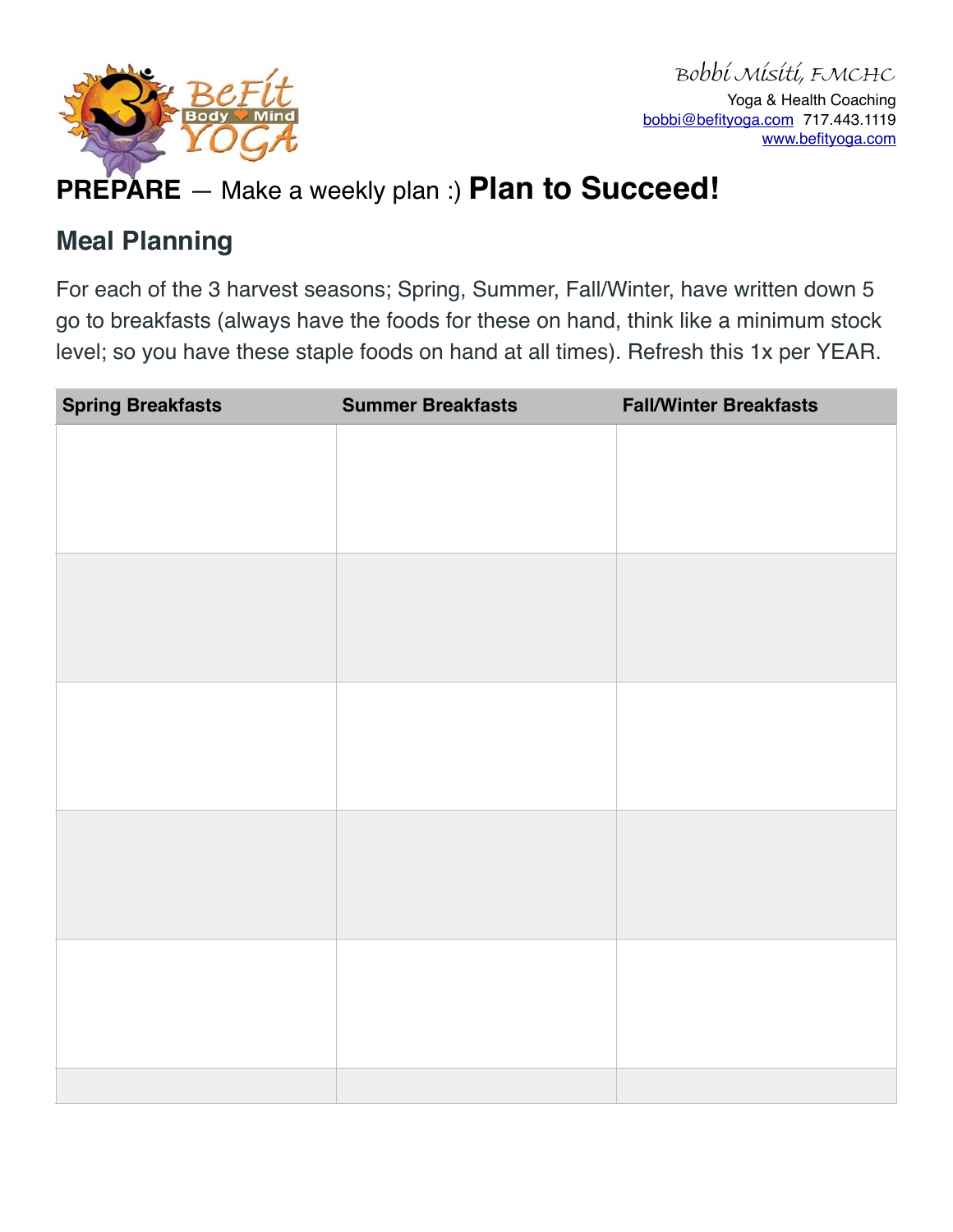

# **PREPARE** — Make a weekly plan :) **Plan to Succeed!**

#### **Meal Planning**

For each of the 3 harvest seasons; Spring, Summer, Fall/Winter, have written down 5 go to breakfasts (always have the foods for these on hand, think like a minimum stock level; so you have these staple foods on hand at all times). Refresh this 1x per YEAR.

| <b>Spring Breakfasts</b> | <b>Summer Breakfasts</b> | <b>Fall/Winter Breakfasts</b> |
|--------------------------|--------------------------|-------------------------------|
|                          |                          |                               |
|                          |                          |                               |
|                          |                          |                               |
|                          |                          |                               |
|                          |                          |                               |
|                          |                          |                               |
|                          |                          |                               |
|                          |                          |                               |
|                          |                          |                               |
|                          |                          |                               |
|                          |                          |                               |
|                          |                          |                               |
|                          |                          |                               |
|                          |                          |                               |
|                          |                          |                               |
|                          |                          |                               |
|                          |                          |                               |
|                          |                          |                               |
|                          |                          |                               |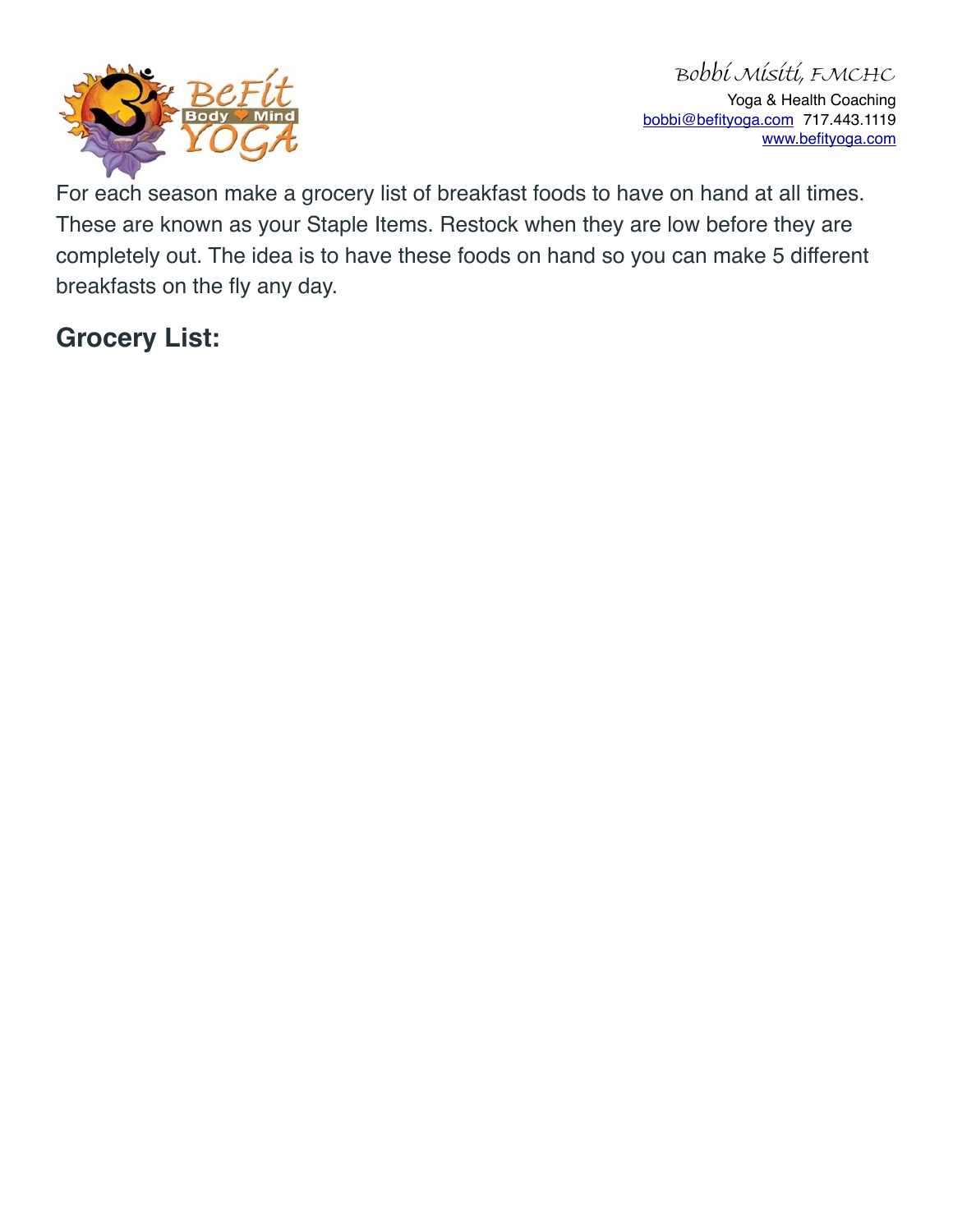

For each season make a grocery list of breakfast foods to have on hand at all times. These are known as your Staple Items. Restock when they are low before they are completely out. The idea is to have these foods on hand so you can make 5 different breakfasts on the fly any day.

### **Grocery List:**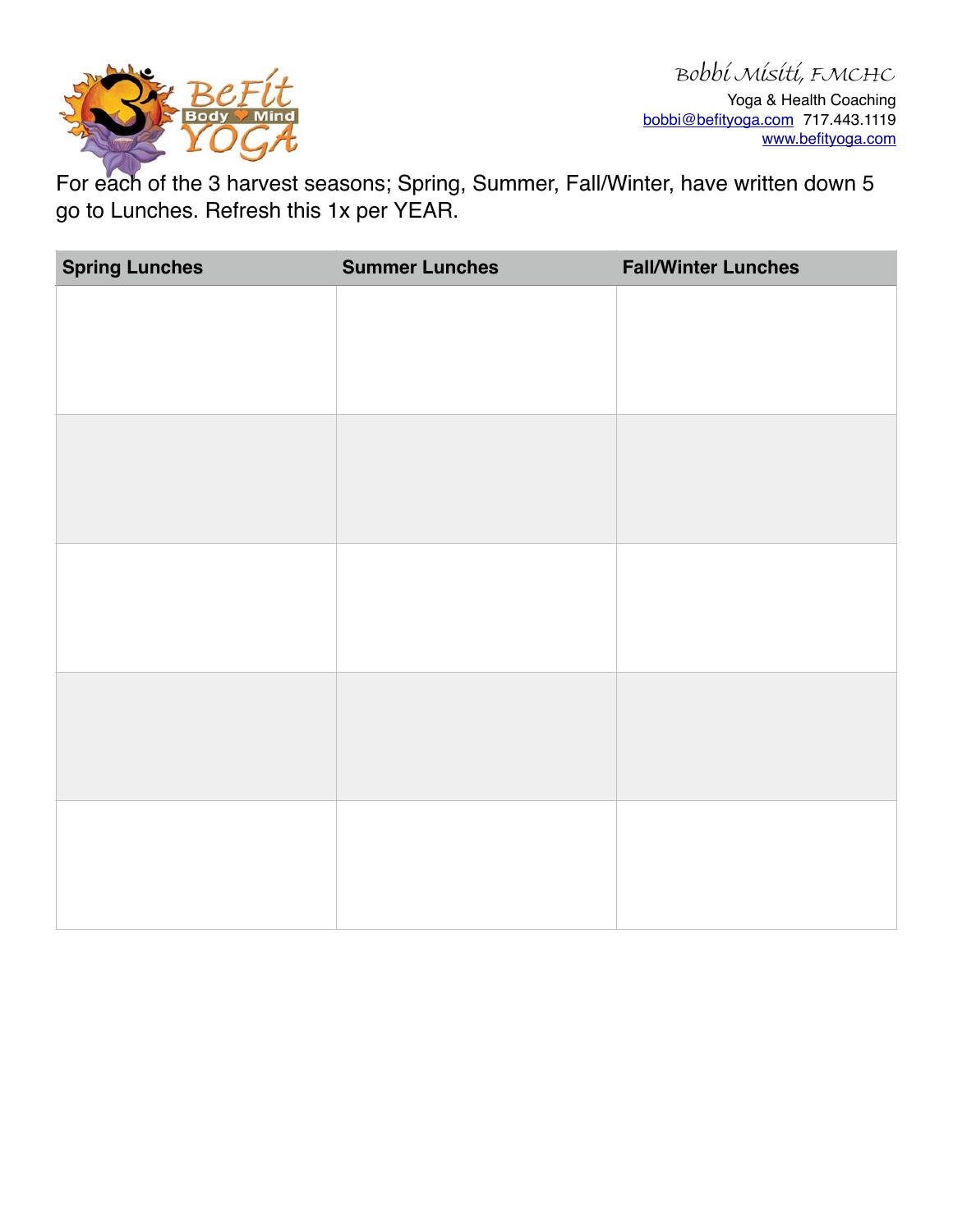

For each of the 3 harvest seasons; Spring, Summer, Fall/Winter, have written down 5 go to Lunches. Refresh this 1x per YEAR.

| <b>Spring Lunches</b> | <b>Summer Lunches</b> | <b>Fall/Winter Lunches</b> |
|-----------------------|-----------------------|----------------------------|
|                       |                       |                            |
|                       |                       |                            |
|                       |                       |                            |
|                       |                       |                            |
|                       |                       |                            |
|                       |                       |                            |
|                       |                       |                            |
|                       |                       |                            |
|                       |                       |                            |
|                       |                       |                            |
|                       |                       |                            |
|                       |                       |                            |
|                       |                       |                            |
|                       |                       |                            |
|                       |                       |                            |
|                       |                       |                            |
|                       |                       |                            |
|                       |                       |                            |
|                       |                       |                            |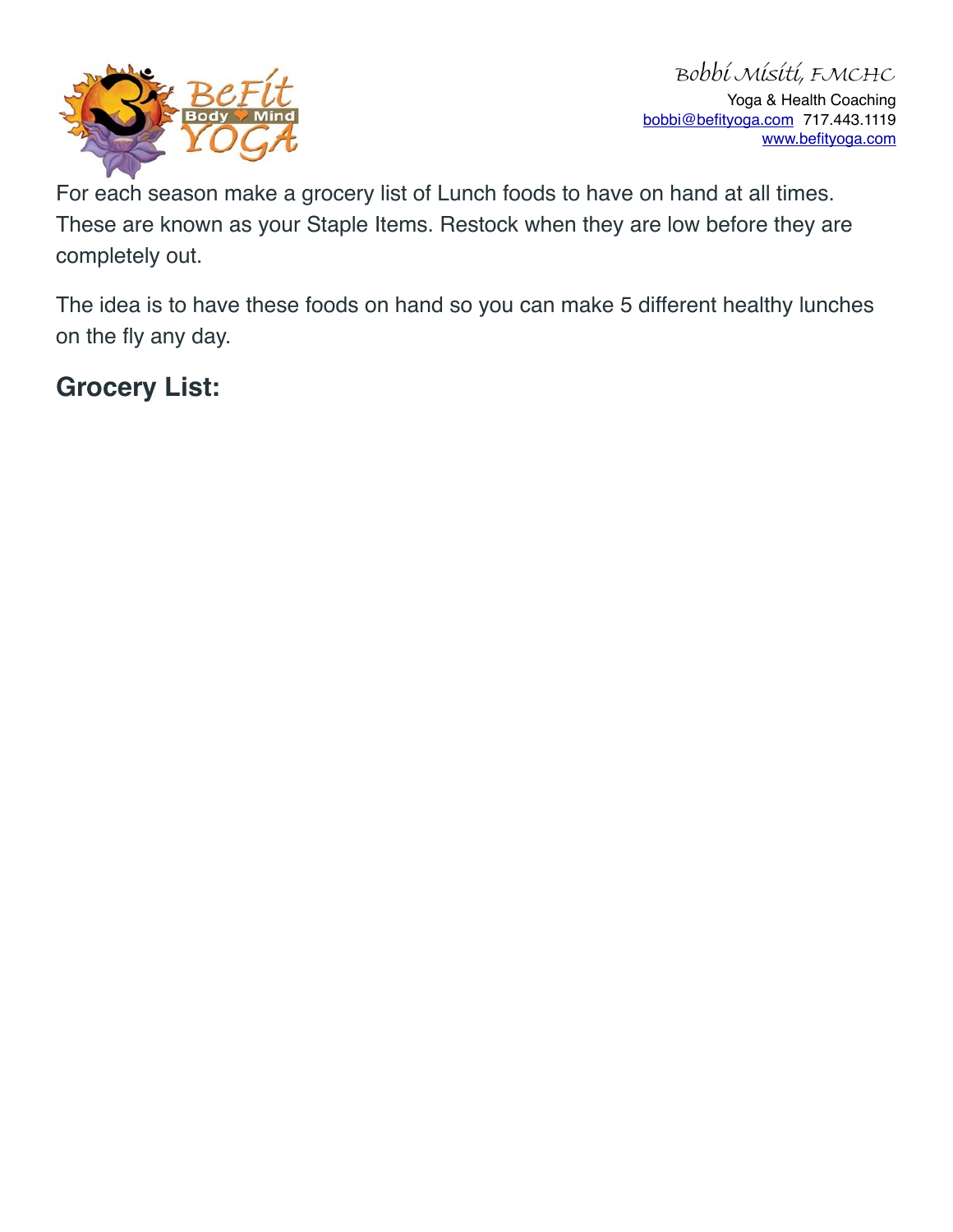

For each season make a grocery list of Lunch foods to have on hand at all times. These are known as your Staple Items. Restock when they are low before they are completely out.

The idea is to have these foods on hand so you can make 5 different healthy lunches on the fly any day.

#### **Grocery List:**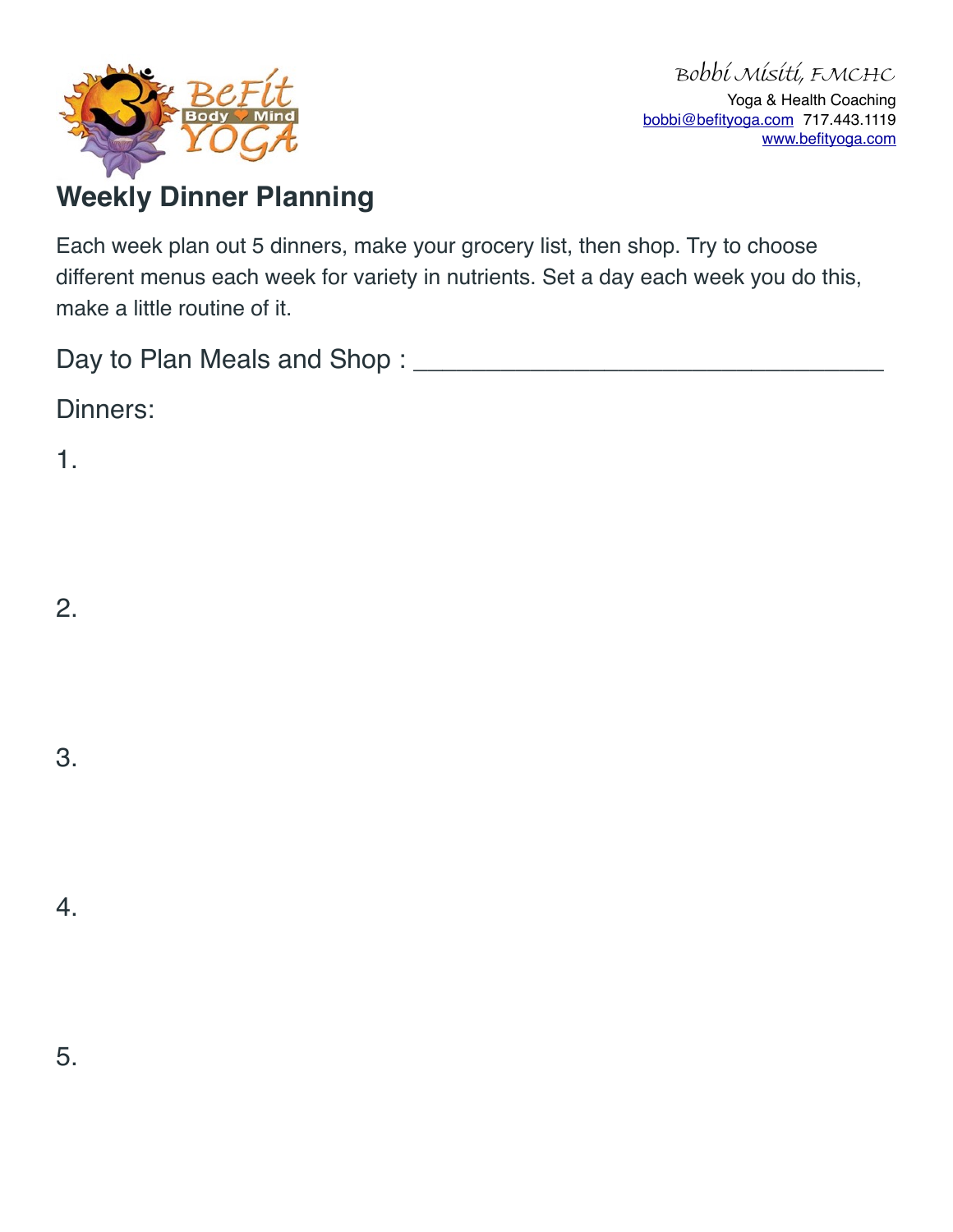

## **Weekly Dinner Planning**

Each week plan out 5 dinners, make your grocery list, then shop. Try to choose different menus each week for variety in nutrients. Set a day each week you do this, make a little routine of it.

Day to Plan Meals and Shop : \_\_\_\_\_\_\_\_\_\_\_\_\_\_\_\_\_\_\_\_\_\_\_\_\_\_\_\_\_\_\_\_

Dinners:

1.

2.

3.

4.

5.